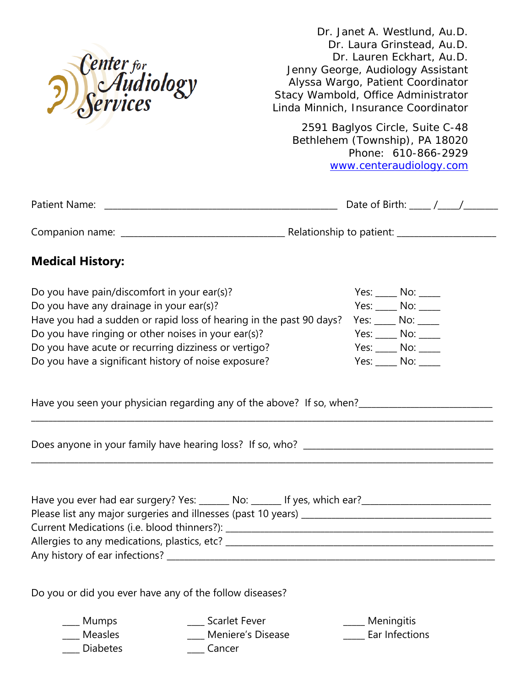

Dr. Janet A. Westlund, Au.D. Dr. Laura Grinstead, Au.D. Dr. Lauren Eckhart, Au.D. Jenny George, Audiology Assistant Alyssa Wargo, Patient Coordinator Stacy Wambold, Office Administrator Linda Minnich, Insurance Coordinator

2591 Baglyos Circle, Suite C-48 Bethlehem (Township), PA 18020 Phone: 610-866-2929 [www.centeraudiology.com](http://www.centeraudilogy.com/)

| Patient<br>$-$ | _____________ | - 1-<br>- |  |
|----------------|---------------|-----------|--|
|                |               |           |  |

Companion name: \_\_\_\_\_\_\_\_\_\_\_\_\_\_\_\_\_\_\_\_\_\_\_\_\_\_\_\_\_\_\_\_\_\_\_\_\_\_ Relationship to patient: \_\_\_\_\_\_\_\_\_\_\_\_\_\_\_\_\_\_\_\_\_\_\_

## **Medical History:**

| Do you have pain/discomfort in your ear(s)?                                           | Yes:   | No: l |
|---------------------------------------------------------------------------------------|--------|-------|
| Do you have any drainage in your ear(s)?                                              | Yes:   | No:   |
| Have you had a sudden or rapid loss of hearing in the past 90 days? Yes: ____ No: ___ |        |       |
| Do you have ringing or other noises in your ear(s)?                                   | Yes:   | No:   |
| Do you have acute or recurring dizziness or vertigo?                                  | Yes:   | No:   |
| Do you have a significant history of noise exposure?                                  | Yes: l | No:   |

| Have you seen your physician regarding any of the above? If so, when? |  |
|-----------------------------------------------------------------------|--|
|-----------------------------------------------------------------------|--|

Does anyone in your family have hearing loss? If so, who? \_\_\_\_\_\_\_\_\_\_\_\_\_\_\_\_\_\_\_\_\_\_\_\_\_\_\_\_\_\_\_\_\_\_\_\_\_\_\_\_\_\_\_\_

| Have you ever had ear surgery? Yes: _______ No: _______ If yes, which ear? |  |
|----------------------------------------------------------------------------|--|
| Please list any major surgeries and illnesses (past 10 years) _________    |  |
| Current Medications (i.e. blood thinners?):                                |  |
| Allergies to any medications, plastics, etc? __                            |  |
| Any history of ear infections?                                             |  |

\_\_\_\_\_\_\_\_\_\_\_\_\_\_\_\_\_\_\_\_\_\_\_\_\_\_\_\_\_\_\_\_\_\_\_\_\_\_\_\_\_\_\_\_\_\_\_\_\_\_\_\_\_\_\_\_\_\_\_\_\_\_\_\_\_\_\_\_\_\_\_\_\_\_\_\_\_\_\_\_\_\_\_\_\_\_\_\_\_\_\_\_\_\_\_\_\_\_\_\_\_\_\_\_\_\_\_

\_\_\_\_\_\_\_\_\_\_\_\_\_\_\_\_\_\_\_\_\_\_\_\_\_\_\_\_\_\_\_\_\_\_\_\_\_\_\_\_\_\_\_\_\_\_\_\_\_\_\_\_\_\_\_\_\_\_\_\_\_\_\_\_\_\_\_\_\_\_\_\_\_\_\_\_\_\_\_\_\_\_\_\_\_\_\_\_\_\_\_\_\_\_\_\_\_\_\_\_\_\_\_\_\_\_\_

Do you or did you ever have any of the follow diseases?

\_\_\_\_ Mumps \_\_\_\_ Scarlet Fever \_\_\_\_\_ Meningitis Measles **Example 20** Meniere's Disease **Ear Infections** Diabetes **Cancer**